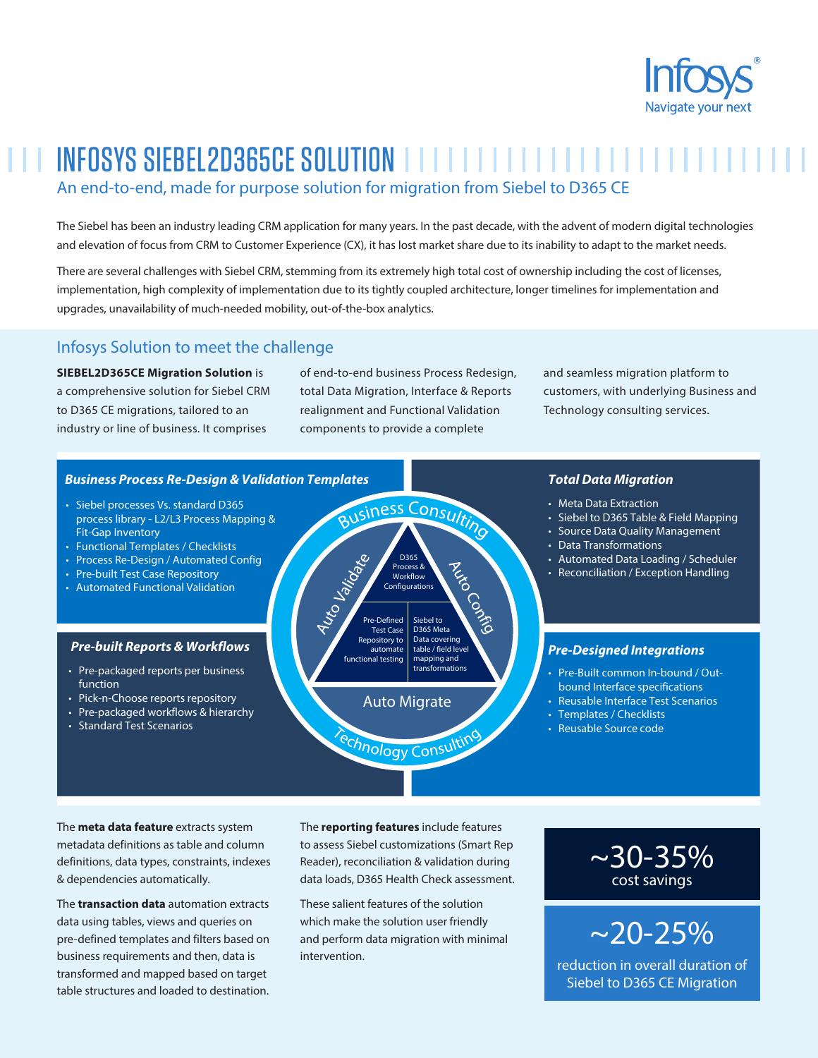

# INFOSYS SIEBEL2D365CE SOLUTION An end-to-end, made for purpose solution for migration from Siebel to D365 CE

The Siebel has been an industry leading CRM application for many years. In the past decade, with the advent of modern digital technologies and elevation of focus from CRM to Customer Experience (CX), it has lost market share due to its inability to adapt to the market needs.

There are several challenges with Siebel CRM, stemming from its extremely high total cost of ownership including the cost of licenses, implementation, high complexity of implementation due to its tightly coupled architecture, longer timelines for implementation and upgrades, unavailability of much-needed mobility, out-of-the-box analytics.

## Infosys Solution to meet the challenge

**SIEBEL2D365CE Migration Solution** is a comprehensive solution for Siebel CRM to D365 CE migrations, tailored to an industry or line of business. It comprises

of end-to-end business Process Redesign, total Data Migration, Interface & Reports realignment and Functional Validation components to provide a complete

and seamless migration platform to customers, with underlying Business and Technology consulting services.

#### *Business Process Re-Design & Validation Templates*

- Siebel processes Vs. standard D365 process library - L2/L3 Process Mapping & Fit-Gap Inventory
- Functional Templates / Checklists • Process Re-Design / Automated Config
- Pre-built Test Case Repository
- Automated Functional Validation

### *Pre-built Reports & Workflows*

- Pre-packaged reports per business function
- Pick-n-Choose reports repository
- Pre-packaged workflows & hierarchy
- Standard Test Scenarios



#### *Total Data Migration*

- Meta Data Extraction
- Siebel to D365 Table & Field Mapping
- Source Data Quality Management
- Data Transformations
- Automated Data Loading / Scheduler
- Reconciliation / Exception Handling

#### *Pre-Designed Integrations*

- Pre-Built common In-bound / Outbound Interface specifications
- Reusable Interface Test Scenarios
- Templates / Checklists
- Reusable Source code

The **meta data feature** extracts system metadata definitions as table and column definitions, data types, constraints, indexes & dependencies automatically.

The **transaction data** automation extracts data using tables, views and queries on pre-defined templates and filters based on business requirements and then, data is transformed and mapped based on target table structures and loaded to destination.

The **reporting features** include features to assess Siebel customizations (Smart Rep Reader), reconciliation & validation during data loads, D365 Health Check assessment.

echnology Consultin

These salient features of the solution which make the solution user friendly and perform data migration with minimal intervention.

## $\sim$ 30-35% cost savings

# $~20 - 25\%$

reduction in overall duration of Siebel to D365 CE Migration